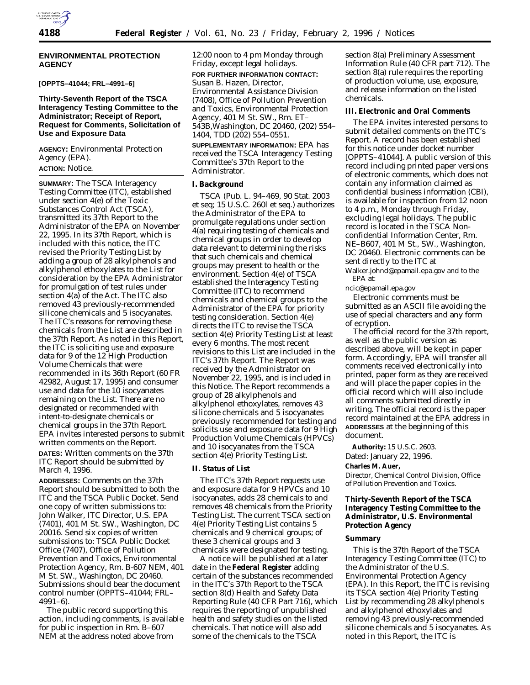

#### **ENVIRONMENTAL PROTECTION AGENCY**

## **[OPPTS–41044; FRL–4991–6]**

### **Thirty-Seventh Report of the TSCA Interagency Testing Committee to the Administrator; Receipt of Report, Request for Comments, Solicitation of Use and Exposure Data**

**AGENCY:** Environmental Protection Agency (EPA). **ACTION:** Notice.

## **SUMMARY:** The TSCA Interagency Testing Committee (ITC), established under section 4(e) of the Toxic Substances Control Act (TSCA), transmitted its 37th Report to the Administrator of the EPA on November 22, 1995. In its 37th Report, which is included with this notice, the ITC revised the *Priority Testing List* by adding a group of 28 alkylphenols and alkylphenol ethoxylates to the List for consideration by the EPA Administrator for promulgation of test rules under section 4(a) of the Act. The ITC also removed 43 previously-recommended silicone chemicals and 5 isocyanates. The ITC's reasons for removing these chemicals from the List are described in the 37th Report. As noted in this Report, the ITC is soliciting use and exposure data for 9 of the 12 High Production Volume Chemicals that were recommended in its 36th Report (60 FR 42982, August 17, 1995) and consumer use and data for the 10 isocyanates remaining on the List. There are no designated or recommended with intent-to-designate chemicals or chemical groups in the 37th Report. EPA invites interested persons to submit written comments on the Report.

**DATES:** Written comments on the 37th ITC Report should be submitted by March 4, 1996.

**ADDRESSES:** Comments on the 37th Report should be submitted to both the ITC and the TSCA Public Docket. Send one copy of written submissions to: John Walker, ITC Director, U.S. EPA (7401), 401 M St. SW., Washington, DC 20016. Send six copies of written submissions to: TSCA Public Docket Office (7407), Office of Pollution Prevention and Toxics, Environmental Protection Agency, Rm. B-607 NEM, 401 M St. SW., Washington, DC 20460. Submissions should bear the document control number (OPPTS–41044; FRL– 4991–6).

The public record supporting this action, including comments, is available for public inspection in Rm. B–607 NEM at the address noted above from

12:00 noon to 4 pm Monday through Friday, except legal holidays. **FOR FURTHER INFORMATION CONTACT:** Susan B. Hazen, Director, Environmental Assistance Division (7408), Office of Pollution Prevention and Toxics, Environmental Protection Agency, 401 M St. SW., Rm. ET– 543B,Washington, DC 20460, (202) 554– 1404, TDD (202) 554–0551.

**SUPPLEMENTARY INFORMATION:** EPA has received the TSCA Interagency Testing Committee's 37th Report to the Administrator.

#### **I. Background**

TSCA (Pub. L. 94–469, 90 Stat. 2003 et seq; 15 U.S.C. 260l et seq.) authorizes the Administrator of the EPA to promulgate regulations under section 4(a) requiring testing of chemicals and chemical groups in order to develop data relevant to determining the risks that such chemicals and chemical groups may present to health or the environment. Section 4(e) of TSCA established the Interagency Testing Committee (ITC) to recommend chemicals and chemical groups to the Administrator of the EPA for priority testing consideration. Section 4(e) directs the ITC to revise the TSCA section 4(e) *Priority Testing List* at least every 6 months. The most recent revisions to this List are included in the ITC's 37th Report. The Report was received by the Administrator on November 22, 1995, and is included in this Notice. The Report recommends a group of 28 alkylphenols and alkylphenol ethoxylates, removes 43 silicone chemicals and 5 isocyanates previously recommended for testing and solicits use and exposure data for 9 High Production Volume Chemicals (HPVCs) and 10 isocyanates from the TSCA section 4(e) *Priority Testing List*.

### **II. Status of List**

The ITC's 37th Report requests use and exposure data for 9 HPVCs and 10 isocyanates, adds 28 chemicals to and removes 48 chemicals from the *Priority Testing List*. The current TSCA section 4(e) *Priority Testing List* contains 5 chemicals and 9 chemical groups; of these 3 chemical groups and 3 chemicals were designated for testing.

A notice will be published at a later date in the **Federal Register** adding certain of the substances recommended in the ITC's 37th Report to the TSCA section 8(d) Health and Safety Data Reporting Rule (40 CFR Part 716), which requires the reporting of unpublished health and safety studies on the listed chemicals. That notice will also add some of the chemicals to the TSCA

section 8(a) Preliminary Assessment Information Rule (40 CFR part 712). The section 8(a) rule requires the reporting of production volume, use, exposure, and release information on the listed chemicals.

#### **III. Electronic and Oral Comments**

The EPA invites interested persons to submit detailed comments on the ITC's Report. A record has been established for this notice under docket number [OPPTS–41044]. A public version of this record including printed paper versions of electronic comments, which does not contain any information claimed as confidential business information (CBI), is available for inspection from 12 noon to 4 p.m., Monday through Friday, excluding legal holidays. The public record is located in the TSCA Nonconfidential Information Center, Rm. NE–B607, 401 M St., SW., Washington, DC 20460. Electronic comments can be sent directly to the ITC at

Walker.johnd@epamail.epa.gov and to the EPA at:

ncic@epamail.epa.gov

Electronic comments must be submitted as an ASCII file avoiding the use of special characters and any form of ecryption.

The official record for the 37th report, as well as the public version as described above, will be kept in paper form. Accordingly, EPA will transfer all comments received electronically into printed, paper form as they are received and will place the paper copies in the official record which will also include all comments submitted directly in writing. The official record is the paper record maintained at the EPA address in **ADDRESSES** at the beginning of this document.

**Authority:** 15 U.S.C. 2603. Dated: January 22, 1996. **Charles M. Auer,** *Director, Chemical Control Division, Office of Pollution Prevention and Toxics.*

**Thirty-Seventh Report of the TSCA Interagency Testing Committee to the Administrator, U.S. Environmental Protection Agency**

#### **Summary**

This is the 37th Report of the TSCA Interagency Testing Committee (ITC) to the Administrator of the U.S. Environmental Protection Agency (EPA). In this Report, the ITC is revising its TSCA section 4(e) *Priority Testing List* by recommending 28 alkylphenols and alkylphenol ethoxylates and removing 43 previously-recommended silicone chemicals and 5 isocyanates. As noted in this Report, the ITC is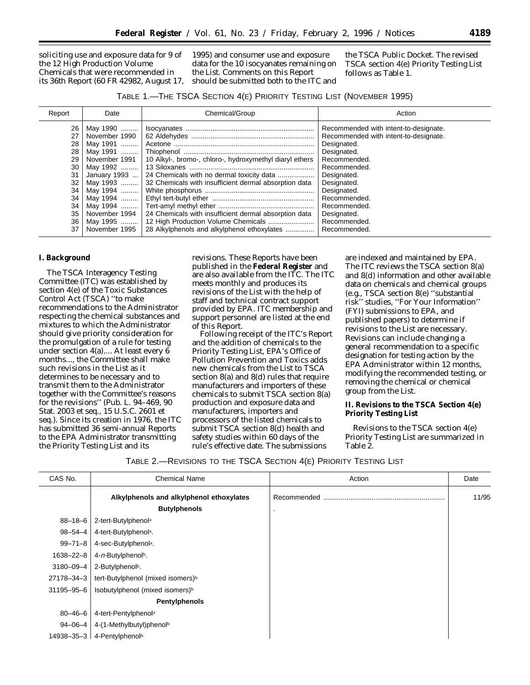soliciting use and exposure data for 9 of the 12 High Production Volume Chemicals that were recommended in its 36th Report (60 FR 42982, August 17,

1995) and consumer use and exposure data for the 10 isocyanates remaining on the *List*. Comments on this Report should be submitted both to the ITC and

the TSCA Public Docket. The revised TSCA section 4(e) *Priority Testing List* follows as Table 1.

| 26<br>May 1990   <br>Recommended with intent-to-designate.<br>27<br>Recommended with intent-to-designate.<br>November 1990<br>28<br>May 1991<br>Designated.                                                                                                                                                                                                                                                                                                                                                                                                                                                                                                       |  |
|-------------------------------------------------------------------------------------------------------------------------------------------------------------------------------------------------------------------------------------------------------------------------------------------------------------------------------------------------------------------------------------------------------------------------------------------------------------------------------------------------------------------------------------------------------------------------------------------------------------------------------------------------------------------|--|
| 28<br>Designated.<br>10 Alkyl-, bromo-, chloro-, hydroxymethyl diaryl ethers<br>Recommended.<br>29<br>November 1991<br>30<br>Recommended.<br>May 1992   <br>31<br>Designated.<br>January 1993<br>May 1993  32 Chemicals with insufficient dermal absorption data<br>32<br>Designated.<br>Designated.<br>34<br>May 1994   <br>Recommended.<br>34<br>May 1994<br>34<br>May 1994   <br>Recommended.<br>24 Chemicals with insufficient dermal absorption data<br>35<br>November 1994<br>Designated.<br>12 High Production Volume Chemicals<br>36<br>Recommended.<br>May 1995   <br>28 Alkylphenols and alkylphenol ethoxylates<br>37<br>November 1995<br>Recommended. |  |

#### **I. Background**

The TSCA Interagency Testing Committee (ITC) was established by section 4(e) of the Toxic Substances Control Act (TSCA) ''to make recommendations to the Administrator respecting the chemical substances and mixtures to which the Administrator should give priority consideration for the promulgation of a rule for testing under section 4(a).... At least every 6 months..., the Committee shall make such revisions in the *List* as it determines to be necessary and to transmit them to the Administrator together with the Committee's reasons for the revisions'' (Pub. L. 94–469, 90 Stat. 2003 et seq., 15 U.S.C. 2601 et seq.). Since its creation in 1976, the ITC has submitted 36 semi-annual Reports to the EPA Administrator transmitting the *Priority Testing List* and its

revisions. These Reports have been published in the **Federal Register** and are also available from the ITC. The ITC meets monthly and produces its revisions of the *List* with the help of staff and technical contract support provided by EPA. ITC membership and support personnel are listed at the end of this Report.

Following receipt of the ITC's Report and the addition of chemicals to the *Priority Testing List*, EPA's Office of Pollution Prevention and Toxics adds new chemicals from the *List* to TSCA section 8(a) and 8(d) rules that require manufacturers and importers of these chemicals to submit TSCA section 8(a) production and exposure data and manufacturers, importers and processors of the listed chemicals to submit TSCA section 8(d) health and safety studies within 60 days of the rule's effective date. The submissions

are indexed and maintained by EPA. The ITC reviews the TSCA section 8(a) and 8(d) information and other available data on chemicals and chemical groups (e.g., TSCA section 8(e) ''substantial risk'' studies, ''For Your Information'' (FYI) submissions to EPA, and published papers) to determine if revisions to the *List* are necessary. Revisions can include changing a general recommendation to a specific designation for testing action by the EPA Administrator within 12 months, modifying the recommended testing, or removing the chemical or chemical group from the *List*.

**II. Revisions to the TSCA Section 4(e) Priority Testing List**

Revisions to the TSCA section 4(e) *Priority Testing List* are summarized in Table 2.

## TABLE 2.—REVISIONS TO THE TSCA SECTION 4(E) PRIORITY TESTING LIST

| CAS No.       | <b>Chemical Name</b>                          | Action      | Date  |
|---------------|-----------------------------------------------|-------------|-------|
|               | Alkylphenols and alkylphenol ethoxylates      | Recommended | 11/95 |
|               | <b>Butylphenols</b>                           |             |       |
| $88 - 18 - 6$ | 2-tert-Butylphenola                           |             |       |
| $98 - 54 - 4$ | 4-tert-Butylphenola.                          |             |       |
| $99 - 71 - 8$ | 4-sec-Butylphenola.                           |             |       |
| 1638-22-8     | 4-n-Butylphenolb.                             |             |       |
| 3180-09-4     | 2-Butylphenolb.                               |             |       |
| 27178-34-3    | tert-Butylphenol (mixed isomers) <sup>b</sup> |             |       |
| 31195-95-6    | Isobutylphenol (mixed isomers) <sup>b</sup>   |             |       |
|               | <b>Pentylphenols</b>                          |             |       |
| $80 - 46 - 6$ | 4-tert-Pentylphenola                          |             |       |
|               | $94 - 06 - 4$   4-(1-Methylbutyl)phenolb      |             |       |
|               | 14938-35-3 $\vert$ 4-Pentylphenolb            |             |       |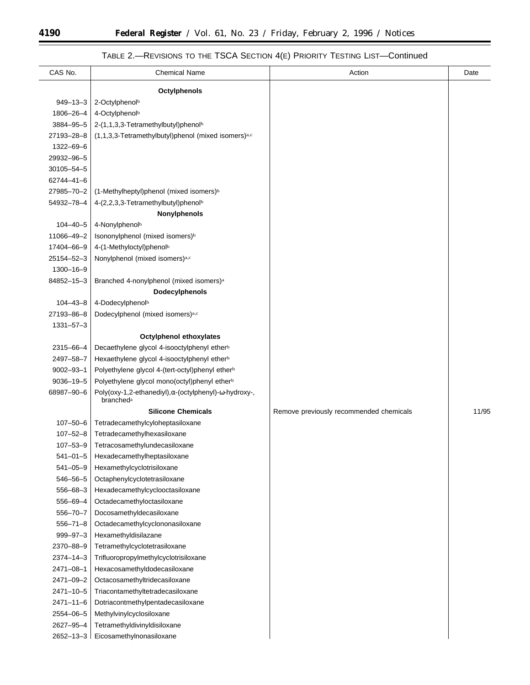# TABLE 2.—REVISIONS TO THE TSCA SECTION 4(E) PRIORITY TESTING LIST—Continued

| CAS No.         | <b>Chemical Name</b>                                                           | Action                                  | Date  |
|-----------------|--------------------------------------------------------------------------------|-----------------------------------------|-------|
|                 | <b>Octylphenols</b>                                                            |                                         |       |
| $949 - 13 - 3$  | 2-Octylphenolb                                                                 |                                         |       |
| 1806-26-4       | 4-Octylphenol <sup>b</sup>                                                     |                                         |       |
| 3884-95-5       | 2-(1,1,3,3-Tetramethylbutyl)phenolb                                            |                                         |       |
| 27193-28-8      | (1,1,3,3-Tetramethylbutyl)phenol (mixed isomers)a,c                            |                                         |       |
| 1322-69-6       |                                                                                |                                         |       |
| 29932-96-5      |                                                                                |                                         |       |
| 30105-54-5      |                                                                                |                                         |       |
| 62744-41-6      |                                                                                |                                         |       |
| 27985-70-2      | (1-Methylheptyl)phenol (mixed isomers) <sup>b</sup>                            |                                         |       |
| 54932-78-4      | 4-(2,2,3,3-Tetramethylbutyl)phenolb                                            |                                         |       |
|                 | Nonylphenols                                                                   |                                         |       |
| $104 - 40 - 5$  | 4-Nonylphenolb                                                                 |                                         |       |
| 11066-49-2      | Isononylphenol (mixed isomers) <sup>b</sup>                                    |                                         |       |
| 17404-66-9      | 4-(1-Methyloctyl)phenolb                                                       |                                         |       |
| 25154-52-3      | Nonylphenol (mixed isomers)a,c                                                 |                                         |       |
| 1300-16-9       |                                                                                |                                         |       |
| 84852-15-3      | Branched 4-nonylphenol (mixed isomers) <sup>a</sup>                            |                                         |       |
|                 | Dodecylphenols                                                                 |                                         |       |
| $104 - 43 - 8$  | 4-Dodecylphenolb                                                               |                                         |       |
| 27193-86-8      | Dodecylphenol (mixed isomers)a,c                                               |                                         |       |
| $1331 - 57 - 3$ |                                                                                |                                         |       |
|                 | Octylphenol ethoxylates                                                        |                                         |       |
| 2315-66-4       | Decaethylene glycol 4-isooctylphenyl ether <sup>b</sup>                        |                                         |       |
| 2497-58-7       | Hexaethylene glycol 4-isooctylphenyl ether <sup>b</sup>                        |                                         |       |
| $9002 - 93 - 1$ | Polyethylene glycol 4-(tert-octyl)phenyl ether <sup>b</sup>                    |                                         |       |
| $9036 - 19 - 5$ | Polyethylene glycol mono(octyl)phenyl ether <sup>b</sup>                       |                                         |       |
| 68987-90-6      | Poly(oxy-1,2-ethanediyl), α-(octylphenyl)-ω-hydroxy-,<br>branched <sup>a</sup> |                                         |       |
|                 | <b>Silicone Chemicals</b>                                                      | Remove previously recommended chemicals | 11/95 |
| $107 - 50 - 6$  | Tetradecamethylcyloheptasiloxane                                               |                                         |       |
| $107 - 52 - 8$  | Tetradecamethylhexasiloxane                                                    |                                         |       |
| $107 - 53 - 9$  | Tetracosamethylundecasiloxane                                                  |                                         |       |
| $541 - 01 - 5$  | Hexadecamethylheptasiloxane                                                    |                                         |       |
| $541 - 05 - 9$  | Hexamethylcyclotrisiloxane                                                     |                                         |       |
| $546 - 56 - 5$  | Octaphenylcyclotetrasiloxane                                                   |                                         |       |
| $556 - 68 - 3$  | Hexadecamethylcyclooctasiloxane                                                |                                         |       |
| 556-69-4        | Octadecamethyloctasiloxane                                                     |                                         |       |
| $556 - 70 - 7$  | Docosamethyldecasiloxane                                                       |                                         |       |
| $556 - 71 - 8$  | Octadecamethylcyclononasiloxane                                                |                                         |       |
| $999 - 97 - 3$  | Hexamethyldisilazane                                                           |                                         |       |
| 2370-88-9       | Tetramethylcyclotetrasiloxane                                                  |                                         |       |
| $2374 - 14 - 3$ | Trifluoropropylmethylcyclotrisiloxane                                          |                                         |       |
| $2471 - 08 - 1$ | Hexacosamethyldodecasiloxane                                                   |                                         |       |
| 2471-09-2       | Octacosamethyltridecasiloxane                                                  |                                         |       |
| $2471 - 10 - 5$ | Triacontamethyltetradecasiloxane                                               |                                         |       |
| $2471 - 11 - 6$ | Dotriacontmethylpentadecasiloxane                                              |                                         |       |
| 2554-06-5       | Methylvinylcyclosiloxane                                                       |                                         |       |
| 2627-95-4       | Tetramethyldivinyldisiloxane                                                   |                                         |       |
|                 | 2652-13-3   Eicosamethylnonasiloxane                                           |                                         |       |

Ξ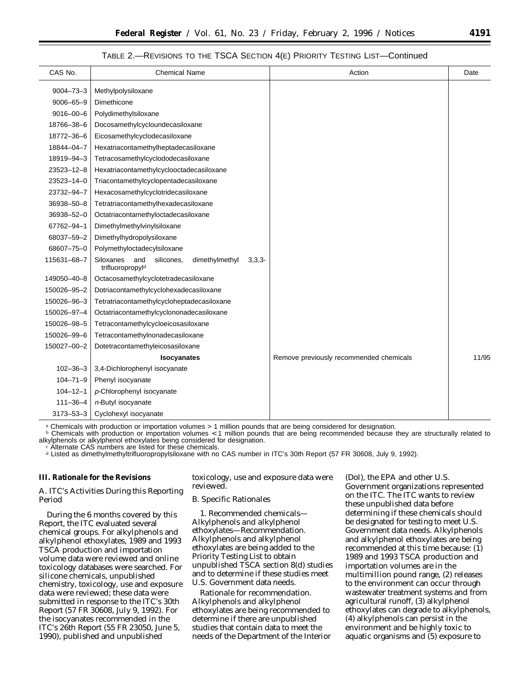#### TABLE 2.—REVISIONS TO THE TSCA SECTION 4(E) PRIORITY TESTING LIST—Continued

| CAS No.<br><b>Chemical Name</b><br>Action<br>$9004 - 73 - 3$<br>Methylpolysiloxane<br>$9006 - 65 - 9$<br>Dimethicone<br>$9016 - 00 - 6$<br>Polydimethylsiloxane<br>18766-38-6<br>Docosamethylcycloundecasiloxane<br>18772-36-6<br>Eicosamethylcyclodecasiloxane<br>18844-04-7<br>Hexatriacontamethylheptadecasiloxane<br>18919-94-3<br>Tetracosamethylcyclododecasiloxane | Date  |
|---------------------------------------------------------------------------------------------------------------------------------------------------------------------------------------------------------------------------------------------------------------------------------------------------------------------------------------------------------------------------|-------|
|                                                                                                                                                                                                                                                                                                                                                                           |       |
|                                                                                                                                                                                                                                                                                                                                                                           |       |
|                                                                                                                                                                                                                                                                                                                                                                           |       |
|                                                                                                                                                                                                                                                                                                                                                                           |       |
|                                                                                                                                                                                                                                                                                                                                                                           |       |
|                                                                                                                                                                                                                                                                                                                                                                           |       |
|                                                                                                                                                                                                                                                                                                                                                                           |       |
|                                                                                                                                                                                                                                                                                                                                                                           |       |
| $23523 - 12 - 8$<br>Hexatriacontamethylcyclooctadecasiloxane                                                                                                                                                                                                                                                                                                              |       |
| 23523-14-0<br>Triacontamethylcyclopentadecasiloxane                                                                                                                                                                                                                                                                                                                       |       |
| 23732-94-7<br>Hexacosamethylcyclotridecasiloxane                                                                                                                                                                                                                                                                                                                          |       |
| 36938-50-8<br>Tetratriacontamethylhexadecasiloxane                                                                                                                                                                                                                                                                                                                        |       |
| 36938-52-0<br>Octatriacontamethyloctadecasiloxane                                                                                                                                                                                                                                                                                                                         |       |
| 67762-94-1<br>Dimethylmethylvinylsiloxane                                                                                                                                                                                                                                                                                                                                 |       |
| 68037-59-2<br>Dimethylhydropolysiloxane                                                                                                                                                                                                                                                                                                                                   |       |
| 68607-75-0<br>Polymethyloctadecylsiloxane                                                                                                                                                                                                                                                                                                                                 |       |
| 115631-68-7<br>Siloxanes<br>and<br>dimethylmethyl<br>silicones.<br>$3,3,3-$<br>trifluoropropyld                                                                                                                                                                                                                                                                           |       |
| Octacosamethylcyclotetradecasiloxane<br>149050-40-8                                                                                                                                                                                                                                                                                                                       |       |
| 150026-95-2<br>Dotriacontamethylcyclohexadecasiloxane                                                                                                                                                                                                                                                                                                                     |       |
| 150026-96-3<br>Tetratriacontamethylcycloheptadecasiloxane                                                                                                                                                                                                                                                                                                                 |       |
| 150026-97-4<br>Octatriacontamethylcyclononadecasiloxane                                                                                                                                                                                                                                                                                                                   |       |
| 150026-98-5<br>Tetracontamethylcycloeicosasiloxane                                                                                                                                                                                                                                                                                                                        |       |
| 150026-99-6<br>Tetracontamethylnonadecasiloxane                                                                                                                                                                                                                                                                                                                           |       |
| 150027-00-2<br>Dotetracontamethyleicosasiloxane                                                                                                                                                                                                                                                                                                                           |       |
| <b>Isocyanates</b><br>Remove previously recommended chemicals                                                                                                                                                                                                                                                                                                             | 11/95 |
| 3,4-Dichlorophenyl isocyanate<br>$102 - 36 - 3$                                                                                                                                                                                                                                                                                                                           |       |
| $104 - 71 - 9$<br>Phenyl isocyanate                                                                                                                                                                                                                                                                                                                                       |       |
| $104 - 12 - 1$<br>p-Chlorophenyl isocyanate                                                                                                                                                                                                                                                                                                                               |       |
| $111 - 36 - 4$<br>n-Butyl isocyanate                                                                                                                                                                                                                                                                                                                                      |       |
| $3173 - 53 - 3$<br>Cyclohexyl isocyanate                                                                                                                                                                                                                                                                                                                                  |       |

a Chemicals with production or importation volumes > 1 million pounds that are being considered for designation.

**b** Chemicals with production or importation volumes < 1 million pounds that are being recommended because they are structurally related to alkylphenols or alkylphenol ethoxylates being considered for designation.<br>c Alternate CAS numbers are listed for these chemicals.

d Listed as dimethylmethyltrifluoropropylsiloxane with no CAS number in ITC's 30th Report (57 FR 30608, July 9, 1992).

#### **III. Rationale for the Revisions**

#### *A. ITC's Activities During this Reporting Period*

During the 6 months covered by this Report, the ITC evaluated several chemical groups. For alkylphenols and alkylphenol ethoxylates, 1989 and 1993 TSCA production and importation volume data were reviewed and online toxicology databases were searched. For silicone chemicals, unpublished chemistry, toxicology, use and exposure data were reviewed; these data were submitted in response to the ITC's 30th Report (57 FR 30608, July 9, 1992). For the isocyanates recommended in the ITC's 26th Report (55 FR 23050, June 5, 1990), published and unpublished

toxicology, use and exposure data were reviewed.

#### *B. Specific Rationales*

1. *Recommended chemicals*— *Alkylphenols and alkylphenol ethoxylates—Recommendation.* Alkylphenols and alkylphenol ethoxylates are being added to the *Priority Testing List* to obtain unpublished TSCA section 8(d) studies and to determine if these studies meet U.S. Government data needs.

*Rationale for recommendation.* Alkylphenols and alkylphenol ethoxylates are being recommended to determine if there are unpublished studies that contain data to meet the needs of the Department of the Interior

(DoI), the EPA and other U.S. Government organizations represented on the ITC. The ITC wants to review these unpublished data before determining if these chemicals should be designated for testing to meet U.S. Government data needs. Alkylphenols and alkylphenol ethoxylates are being recommended at this time because: (1) 1989 and 1993 TSCA production and importation volumes are in the multimillion pound range, (2) releases to the environment can occur through wastewater treatment systems and from agricultural runoff, (3) alkylphenol ethoxylates can degrade to alkylphenols, (4) alkylphenols can persist in the environment and be highly toxic to aquatic organisms and (5) exposure to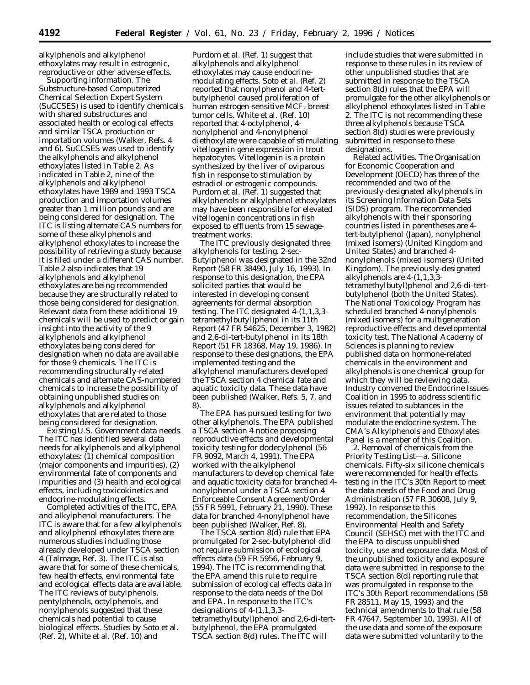alkylphenols and alkylphenol ethoxylates may result in estrogenic, reproductive or other adverse effects.

*Supporting information.* The Substructure-based Computerized Chemical Selection Expert System (*SuCCSES*) is used to identify chemicals with shared substructures and associated health or ecological effects and similar TSCA production or importation volumes (Walker, Refs. 4 and 6). *SuCCSES* was used to identify the alkylphenols and alkylphenol ethoxylates listed in Table 2. As indicated in Table 2, nine of the alkylphenols and alkylphenol ethoxylates have 1989 and 1993 TSCA production and importation volumes greater than 1 million pounds and are being considered for designation. The ITC is listing alternate CAS numbers for some of these alkylphenols and alkylphenol ethoxylates to increase the possibility of retrieving a study because it is filed under a different CAS number. Table 2 also indicates that 19 alkylphenols and alkylphenol ethoxylates are being recommended because they are structurally related to those being considered for designation. Relevant data from these additional 19 chemicals will be used to predict or gain insight into the activity of the 9 alkylphenols and alkylphenol ethoxylates being considered for designation when no data are available for those 9 chemicals. The ITC is recommending structurally-related chemicals and alternate CAS-numbered chemicals to increase the possibility of obtaining unpublished studies on alkylphenols and alkylphenol ethoxylates that are related to those being considered for designation.

*Existing U.S. Government data needs.* The ITC has identified several data needs for alkylphenols and alkylphenol ethoxylates: (1) chemical composition (major components and impurities), (2) environmental fate of components and impurities and (3) health and ecological effects, including toxicokinetics and endocrine-modulating effects.

*Completed activities of the ITC, EPA and alkylphenol manufacturers.* The ITC is aware that for a few alkylphenols and alkylphenol ethoxylates there are numerous studies including those already developed under TSCA section 4 (Talmage, Ref. 3). The ITC is also aware that for some of these chemicals, few health effects, environmental fate and ecological effects data are available. The ITC reviews of butylphenols, pentylphenols, octylphenols, and nonylphenols suggested that these chemicals had potential to cause biological effects. Studies by Soto et al. (Ref. 2), White et al. (Ref. 10) and

Purdom et al. (Ref. 1) suggest that alkylphenols and alkylphenol ethoxylates may cause endocrinemodulating effects. Soto et al. (Ref. 2) reported that nonylphenol and 4-tertbutylphenol caused proliferation of human estrogen-sensitive  $MCF<sub>7</sub>$  breast tumor cells. White et al. (Ref. 10) reported that 4-octylphenol, 4 nonylphenol and 4-nonylphenol diethoxylate were capable of stimulating vitellogenin gene expression in trout hepatocytes. Vitellogenin is a protein synthesized by the liver of oviparous fish in response to stimulation by estradiol or estrogenic compounds. Purdom et al. (Ref. 1) suggested that alkylphenols or alkylphenol ethoxylates may have been responsible for elevated vitellogenin concentrations in fish exposed to effluents from 15 sewagetreatment works.

The ITC previously designated three alkylphenols for testing. 2-sec-Butylphenol was designated in the 32nd Report (58 FR 38490, July 16, 1993). In response to this designation, the EPA solicited parties that would be interested in developing consent agreements for dermal absorption testing. The ITC designated 4-(1,1,3,3 tetramethylbutyl)phenol in its 11th Report (47 FR 54625, December 3, 1982) and 2,6-di-tert-butylphenol in its 18th Report (51 FR 18368, May 19, 1986). In response to these designations, the EPA implemented testing and the alkylphenol manufacturers developed the TSCA section 4 chemical fate and aquatic toxicity data. These data have been published (Walker, Refs. 5, 7, and 8).

The EPA has pursued testing for two other alkylphenols. The EPA published a TSCA section 4 notice proposing reproductive effects and developmental toxicity testing for dodecylphenol (56 FR 9092, March 4, 1991). The EPA worked with the alkylphenol manufacturers to develop chemical fate and aquatic toxicity data for branched 4 nonylphenol under a TSCA section 4 Enforceable Consent Agreement/Order (55 FR 5991, February 21, 1990). These data for branched 4-nonylphenol have been published (Walker, Ref. 8).

The TSCA section 8(d) rule that EPA promulgated for 2-sec-butylphenol did not require submission of ecological effects data (59 FR 5956, February 9, 1994). The ITC is recommending that the EPA amend this rule to require submission of ecological effects data in response to the data needs of the DoI and EPA. In response to the ITC's designations of 4-(1,1,3,3 tetramethylbutyl)phenol and 2,6-di-tertbutylphenol, the EPA promulgated TSCA section 8(d) rules. The ITC will

include studies that were submitted in response to these rules in its review of other unpublished studies that are submitted in response to the TSCA section 8(d) rules that the EPA will promulgate for the other alkylphenols or alkylphenol ethoxylates listed in Table 2. The ITC is not recommending these three alkylphenols because TSCA section 8(d) studies were previously submitted in response to these designations.

*Related activities.* The Organisation for Economic Cooperation and Development (OECD) has three of the recommended and two of the previously-designated alkylphenols in its Screening Information Data Sets (SIDS) program. The recommended alkylphenols with their sponsoring countries listed in parentheses are 4 tert-butylphenol (Japan), nonylphenol (mixed isomers) (United Kingdom and United States) and branched 4 nonylphenols (mixed isomers) (United Kingdom). The previously-designated alkylphenols are 4-(1,1,3,3 tetramethylbutyl)phenol and 2,6-di-tertbutylphenol (both the United States). The National Toxicology Program has scheduled branched 4-nonylphenols (mixed isomers) for a multigeneration reproductive effects and developmental toxicity test. The National Academy of Sciences is planning to review published data on hormone-related chemicals in the environment and alkylphenols is one chemical group for which they will be reviewing data. Industry convened the Endocrine Issues Coalition in 1995 to address scientific issues related to subtances in the environment that potentially may modulate the endocrine system. The CMA's Alkylphenols and Ethoxylates Panel is a member of this Coalition.

2. *Removal of chemicals from the Priority Testing List—a. Silicone chemicals*. Fifty-six silicone chemicals were recommended for health effects testing in the ITC's 30th Report to meet the data needs of the Food and Drug Administration (57 FR 30608, July 9, 1992). In response to this recommendation, the Silicones Environmental Health and Safety Council (SEHSC) met with the ITC and the EPA to discuss unpublished toxicity, use and exposure data. Most of the unpublished toxicity and exposure data were submitted in response to the TSCA section 8(d) reporting rule that was promulgated in response to the ITC's 30th Report recommendations (58 FR 28511, May 15, 1993) and the technical amendments to that rule (58 FR 47647, September 10, 1993). All of the use data and some of the exposure data were submitted voluntarily to the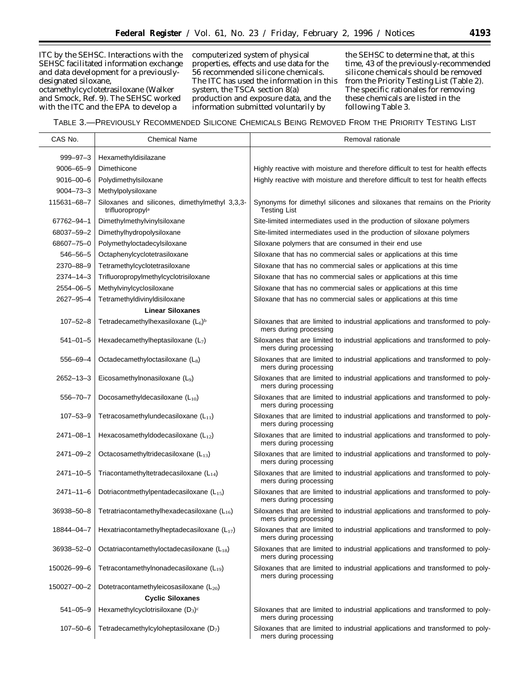ITC by the SEHSC. Interactions with the SEHSC facilitated information exchange and data development for a previouslydesignated siloxane,

octamethylcyclotetrasiloxane (Walker and Smock, Ref. 9). The SEHSC worked with the ITC and the EPA to develop a

computerized system of physical properties, effects and use data for the 56 recommended silicone chemicals. The ITC has used the information in this system, the TSCA section 8(a) production and exposure data, and the information submitted voluntarily by

the SEHSC to determine that, at this time, 43 of the previously-recommended silicone chemicals should be removed from the *Priority Testing List* (Table 2). The specific rationales for removing these chemicals are listed in the following Table 3.

TABLE 3.—PREVIOUSLY RECOMMENDED SILICONE CHEMICALS BEING REMOVED FROM THE PRIORITY TESTING LIST

| CAS No.         | <b>Chemical Name</b>                                               | Removal rationale                                                                                        |
|-----------------|--------------------------------------------------------------------|----------------------------------------------------------------------------------------------------------|
| $999 - 97 - 3$  | Hexamethyldisilazane                                               |                                                                                                          |
| $9006 - 65 - 9$ | Dimethicone                                                        | Highly reactive with moisture and therefore difficult to test for health effects                         |
| $9016 - 00 - 6$ | Polydimethylsiloxane                                               | Highly reactive with moisture and therefore difficult to test for health effects                         |
| $9004 - 73 - 3$ | Methylpolysiloxane                                                 |                                                                                                          |
| 115631-68-7     | Siloxanes and silicones, dimethylmethyl 3,3,3-<br>trifluoropropyla | Synonyms for dimethyl silicones and siloxanes that remains on the Priority<br><b>Testing List</b>        |
| 67762-94-1      | Dimethylmethylvinylsiloxane                                        | Site-limited intermediates used in the production of siloxane polymers                                   |
| 68037-59-2      | Dimethylhydropolysiloxane                                          | Site-limited intermediates used in the production of siloxane polymers                                   |
| 68607-75-0      | Polymethyloctadecylsiloxane                                        | Siloxane polymers that are consumed in their end use                                                     |
| $546 - 56 - 5$  | Octaphenylcyclotetrasiloxane                                       | Siloxane that has no commercial sales or applications at this time                                       |
| 2370-88-9       | Tetramethylcyclotetrasiloxane                                      | Siloxane that has no commercial sales or applications at this time                                       |
| 2374-14-3       | Trifluoropropylmethylcyclotrisiloxane                              | Siloxane that has no commercial sales or applications at this time                                       |
| 2554-06-5       | Methylvinylcyclosiloxane                                           | Siloxane that has no commercial sales or applications at this time                                       |
| 2627-95-4       | Tetramethyldivinyldisiloxane                                       | Siloxane that has no commercial sales or applications at this time                                       |
|                 | <b>Linear Siloxanes</b>                                            |                                                                                                          |
| $107 - 52 - 8$  | Tetradecamethylhexasiloxane $(L_6)^b$                              | Siloxanes that are limited to industrial applications and transformed to poly-<br>mers during processing |
| $541 - 01 - 5$  | Hexadecamethylheptasiloxane $(L_7)$                                | Siloxanes that are limited to industrial applications and transformed to poly-<br>mers during processing |
| 556-69-4        | Octadecamethyloctasiloxane (L <sub>8</sub> )                       | Siloxanes that are limited to industrial applications and transformed to poly-<br>mers during processing |
| 2652-13-3       | Eicosamethylnonasiloxane (L9)                                      | Siloxanes that are limited to industrial applications and transformed to poly-<br>mers during processing |
| $556 - 70 - 7$  | Docosamethyldecasiloxane $(L_{10})$                                | Siloxanes that are limited to industrial applications and transformed to poly-<br>mers during processing |
| $107 - 53 - 9$  | Tetracosamethylundecasiloxane (L11)                                | Siloxanes that are limited to industrial applications and transformed to poly-<br>mers during processing |
| 2471-08-1       | Hexacosamethyldodecasiloxane $(L_{12})$                            | Siloxanes that are limited to industrial applications and transformed to poly-<br>mers during processing |
| 2471-09-2       | Octacosamethyltridecasiloxane $(L_{13})$                           | Siloxanes that are limited to industrial applications and transformed to poly-<br>mers during processing |
| $2471 - 10 - 5$ | Triacontamethyltetradecasiloxane $(L_{14})$                        | Siloxanes that are limited to industrial applications and transformed to poly-<br>mers during processing |
| $2471 - 11 - 6$ | Dotriacontmethylpentadecasiloxane (L15)                            | Siloxanes that are limited to industrial applications and transformed to poly-<br>mers during processing |
| 36938-50-8      | Tetratriacontamethylhexadecasiloxane $(L_{16})$                    | Siloxanes that are limited to industrial applications and transformed to poly-<br>mers during processing |
| 18844-04-7      | Hexatriacontamethylheptadecasiloxane $(L_{17})$                    | Siloxanes that are limited to industrial applications and transformed to poly-<br>mers during processing |
| 36938-52-0      | Octatriacontamethyloctadecasiloxane $(L_{18})$                     | Siloxanes that are limited to industrial applications and transformed to poly-<br>mers during processing |
| 150026-99-6     | Tetracontamethylnonadecasiloxane $(L_{19})$                        | Siloxanes that are limited to industrial applications and transformed to poly-<br>mers during processing |
| 150027-00-2     | Dotetracontamethyleicosasiloxane $(L_{20})$                        |                                                                                                          |
|                 | <b>Cyclic Siloxanes</b>                                            |                                                                                                          |
| $541 - 05 - 9$  | Hexamethylcyclotrisiloxane $(D_3)^c$                               | Siloxanes that are limited to industrial applications and transformed to poly-<br>mers during processing |
| $107 - 50 - 6$  | Tetradecamethylcyloheptasiloxane $(D_7)$                           | Siloxanes that are limited to industrial applications and transformed to poly-<br>mers during processing |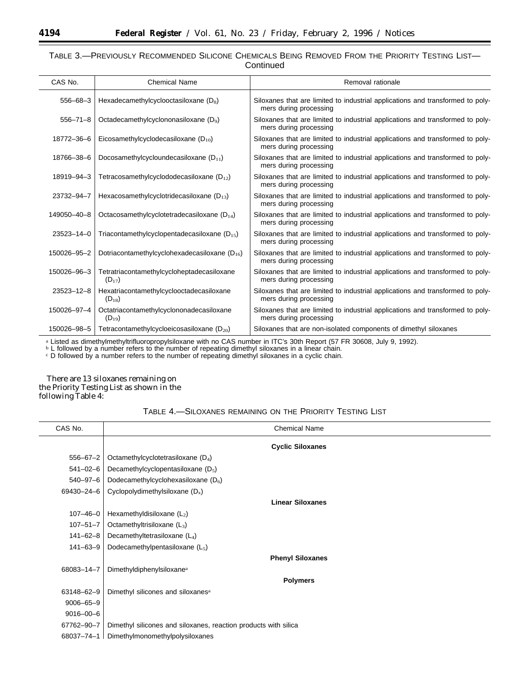# TABLE 3.—PREVIOUSLY RECOMMENDED SILICONE CHEMICALS BEING REMOVED FROM THE PRIORITY TESTING LIST— **Continued**

| CAS No.          | <b>Chemical Name</b>                                     | Removal rationale                                                                                        |
|------------------|----------------------------------------------------------|----------------------------------------------------------------------------------------------------------|
| $556 - 68 - 3$   | Hexadecamethylcyclooctasiloxane $(D_8)$                  | Siloxanes that are limited to industrial applications and transformed to poly-<br>mers during processing |
| $556 - 71 - 8$   | Octadecamethylcyclononasiloxane (D <sub>9</sub> )        | Siloxanes that are limited to industrial applications and transformed to poly-<br>mers during processing |
| 18772-36-6       | Eicosamethylcyclodecasiloxane $(D_{10})$                 | Siloxanes that are limited to industrial applications and transformed to poly-<br>mers during processing |
| 18766-38-6       | Docosamethylcycloundecasiloxane $(D_{11})$               | Siloxanes that are limited to industrial applications and transformed to poly-<br>mers during processing |
| 18919-94-3       | Tetracosamethylcyclododecasiloxane ( $D_{12}$ )          | Siloxanes that are limited to industrial applications and transformed to poly-<br>mers during processing |
| 23732-94-7       | Hexacosamethylcyclotridecasiloxane ( $D_{13}$ )          | Siloxanes that are limited to industrial applications and transformed to poly-<br>mers during processing |
| 149050-40-8      | Octacosamethylcyclotetradecasiloxane $(D_{14})$          | Siloxanes that are limited to industrial applications and transformed to poly-<br>mers during processing |
| 23523-14-0       | Triacontamethylcyclopentadecasiloxane ( $D_{15}$ )       | Siloxanes that are limited to industrial applications and transformed to poly-<br>mers during processing |
| 150026-95-2      | Dotriacontamethylcyclohexadecasiloxane ( $D_{16}$ )      | Siloxanes that are limited to industrial applications and transformed to poly-<br>mers during processing |
| 150026-96-3      | Tetratriacontamethylcycloheptadecasiloxane<br>$(D_{17})$ | Siloxanes that are limited to industrial applications and transformed to poly-<br>mers during processing |
| $23523 - 12 - 8$ | Hexatriacontamethylcyclooctadecasiloxane<br>$(D_{18})$   | Siloxanes that are limited to industrial applications and transformed to poly-<br>mers during processing |
| 150026-97-4      | Octatriacontamethylcyclononadecasiloxane<br>$(D_{19})$   | Siloxanes that are limited to industrial applications and transformed to poly-<br>mers during processing |
| 150026-98-5      | Tetracontamethylcycloeicosasiloxane $(D_{20})$           | Siloxanes that are non-isolated components of dimethyl siloxanes                                         |

a Listed as dimethylmethyltrifluoropropylsiloxane with no CAS number in ITC's 30th Report (57 FR 30608, July 9, 1992).

**b** L followed by a number refers to the number of repeating dimethyl siloxanes in a linear chain.

c D followed by a number refers to the number of repeating dimethyl siloxanes in a cyclic chain.

There are 13 siloxanes remaining on the *Priority Testing List* as shown in the following Table 4:

# TABLE 4.—SILOXANES REMAINING ON THE PRIORITY TESTING LIST

| CAS No.         | <b>Chemical Name</b>                                            |
|-----------------|-----------------------------------------------------------------|
|                 | <b>Cyclic Siloxanes</b>                                         |
| $556 - 67 - 2$  | Octamethylcyclotetrasiloxane $(D_4)$                            |
| $541 - 02 - 6$  | Decamethylcyclopentasiloxane $(D_5)$                            |
| $540 - 97 - 6$  | Dodecamethylcyclohexasiloxane $(D_6)$                           |
| 69430-24-6      | Cyclopolydimethylsiloxane $(D_x)$                               |
|                 | <b>Linear Siloxanes</b>                                         |
| $107 - 46 - 0$  | Hexamethyldisiloxane $(L_2)$                                    |
| $107 - 51 - 7$  | Octamethyltrisiloxane $(L_3)$                                   |
| $141 - 62 - 8$  | Decamethyltetrasiloxane $(L_4)$                                 |
| $141 - 63 - 9$  | Dodecamethylpentasiloxane $(L_5)$                               |
|                 | <b>Phenyl Siloxanes</b>                                         |
| 68083-14-7      | Dimethyldiphenylsiloxane <sup>a</sup>                           |
|                 | <b>Polymers</b>                                                 |
| 63148-62-9      | Dimethyl silicones and siloxanes <sup>a</sup>                   |
| $9006 - 65 - 9$ |                                                                 |
| $9016 - 00 - 6$ |                                                                 |
| 67762-90-7      | Dimethyl silicones and siloxanes, reaction products with silica |
| 68037-74-1      | Dimethylmonomethylpolysiloxanes                                 |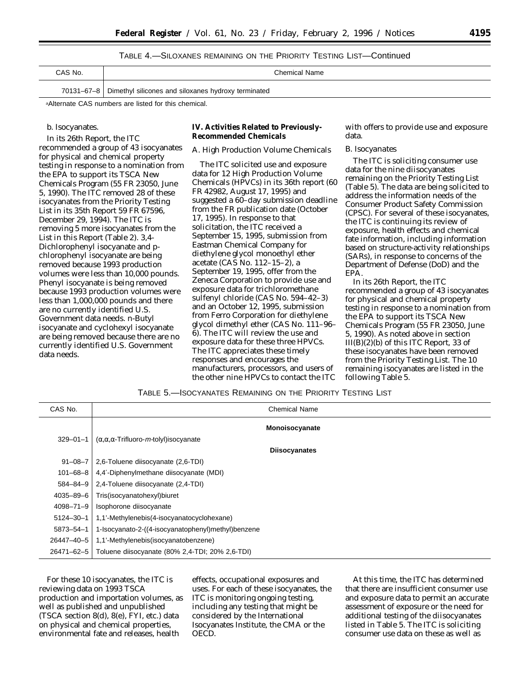| TABLE 4.—SILOXANES REMAINING ON THE PRIORITY TESTING LIST—Continued |  |
|---------------------------------------------------------------------|--|
|---------------------------------------------------------------------|--|

| CAS No. | Chemical Name                                                    |
|---------|------------------------------------------------------------------|
|         | 70131–67–8   Dimethyl silicones and siloxanes hydroxy terminated |

aAlternate CAS numbers are listed for this chemical.

### b. Isocyanates.

In its 26th Report, the ITC recommended a group of 43 isocyanates for physical and chemical property testing in response to a nomination from the EPA to support its TSCA New Chemicals Program (55 FR 23050, June 5, 1990). The ITC removed 28 of these isocyanates from the *Priority Testing List* in its 35th Report 59 FR 67596, December 29, 1994). The ITC is removing 5 more isocyanates from the *List* in this Report (Table 2). 3,4- Dichlorophenyl isocyanate and *p*chlorophenyl isocyanate are being removed because 1993 production volumes were less than 10,000 pounds. Phenyl isocyanate is being removed because 1993 production volumes were less than 1,000,000 pounds and there are no currently identified U.S. Government data needs. *n-*Butyl isocyanate and cyclohexyl isocyanate are being removed because there are no currently identified U.S. Government data needs.

**IV. Activities Related to Previously-Recommended Chemicals**

#### *A. High Production Volume Chemicals*

The ITC solicited use and exposure data for 12 High Production Volume Chemicals (HPVCs) in its 36th report (60 FR 42982, August 17, 1995) and suggested a 60–day submission deadline from the FR publication date (October 17, 1995). In response to that solicitation, the ITC received a September 15, 1995, submission from Eastman Chemical Company for diethylene glycol monoethyl ether acetate (CAS No. 112–15–2), a September 19, 1995, offer from the Zeneca Corporation to provide use and exposure data for trichloromethane sulfenyl chloride (CAS No. 594–42–3) and an October 12, 1995, submission from Ferro Corporation for diethylene glycol dimethyl ether (CAS No. 111–96– 6). The ITC will review the use and exposure data for these three HPVCs. The ITC appreciates these timely responses and encourages the manufacturers, processors, and users of the other nine HPVCs to contact the ITC

with offers to provide use and exposure data.

#### *B. Isocyanates*

The ITC is soliciting consumer use data for the nine diisocyanates remaining on the *Priority Testing List* (Table 5). The data are being solicited to address the information needs of the Consumer Product Safety Commission (CPSC). For several of these isocyanates, the ITC is continuing its review of exposure, health effects and chemical fate information, including information based on structure-activity relationships (SARs), in response to concerns of the Department of Defense (DoD) and the EPA.

In its 26th Report, the ITC recommended a group of 43 isocyanates for physical and chemical property testing in response to a nomination from the EPA to support its TSCA New Chemicals Program (55 FR 23050, June 5, 1990). As noted above in section III(B)(2)(b) of this ITC Report, 33 of these isocyanates have been removed from the *Priority Testing List*. The 10 remaining isocyanates are listed in the following Table 5.

| Table 5.—Isocyanates Remaining on the Priority Testing List |  |  |
|-------------------------------------------------------------|--|--|
|-------------------------------------------------------------|--|--|

| CAS No.         |                                                          | <b>Chemical Name</b> |
|-----------------|----------------------------------------------------------|----------------------|
|                 |                                                          | Monoisocyanate       |
| $329 - 01 - 1$  | $(\alpha, \alpha, \alpha$ -Trifluoro-m-tolyl) isocyanate | <b>Diisocyanates</b> |
| $91 - 08 - 7$   | 2,6-Toluene diisocyanate (2,6-TDI)                       |                      |
| $101 - 68 - 8$  | 4,4'-Diphenylmethane diisocyanate (MDI)                  |                      |
| $584 - 84 - 9$  | 2,4-Toluene diisocyanate (2,4-TDI)                       |                      |
| $4035 - 89 - 6$ | Tris(isocyanatohexyl)biuret                              |                      |
| $4098 - 71 - 9$ | Isophorone diisocyanate                                  |                      |
| $5124 - 30 - 1$ | 1,1'-Methylenebis(4-isocyanatocyclohexane)               |                      |
| 5873-54-1       | 1-Isocyanato-2-((4-isocyanatophenyl)methyl)benzene       |                      |
| 26447-40-5      | 1,1'-Methylenebis(isocyanatobenzene)                     |                      |
| 26471-62-5      | Toluene diisocyanate (80% 2,4-TDI; 20% 2,6-TDI)          |                      |

For these 10 isocyanates, the ITC is reviewing data on 1993 TSCA production and importation volumes, as well as published and unpublished (TSCA section 8(d), 8(e), FYI, etc.) data on physical and chemical properties, environmental fate and releases, health

effects, occupational exposures and uses. For each of these isocyanates, the ITC is monitoring ongoing testing, including any testing that might be considered by the International Isocyanates Institute, the CMA or the OECD.

At this time, the ITC has determined that there are insufficient consumer use and exposure data to permit an accurate assessment of exposure or the need for additional testing of the diisocyanates listed in Table 5. The ITC is soliciting consumer use data on these as well as